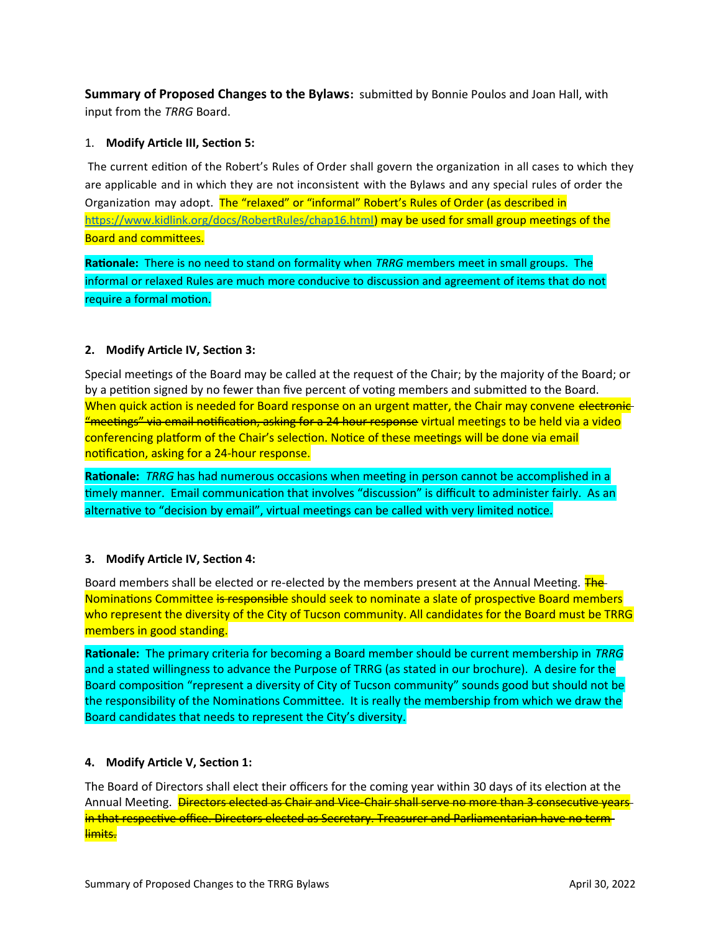**Summary of Proposed Changes to the Bylaws:** submitted by Bonnie Poulos and Joan Hall, with input from the *TRRG* Board.

## 1. **Modify Article III, Section 5:**

The current edition of the Robert's Rules of Order shall govern the organization in all cases to which they are applicable and in which they are not inconsistent with the Bylaws and any special rules of order the Organization may adopt. The "relaxed" or "informal" Robert's Rules of Order (as described in [https://www.kidlink.org/docs/RobertRules/chap16.html\)](https://www.kidlink.org/docs/RobertRules/chap16.html) may be used for small group meetings of the Board and committees.

**Rationale:** There is no need to stand on formality when *TRRG* members meet in small groups. The informal or relaxed Rules are much more conducive to discussion and agreement of items that do not require a formal motion.

### **2. Modify Article IV, Section 3:**

Special meetings of the Board may be called at the request of the Chair; by the majority of the Board; or by a petition signed by no fewer than five percent of voting members and submitted to the Board. When quick action is needed for Board response on an urgent matter, the Chair may convene electronic-"meetings" via email notification, asking for a 24 hour response virtual meetings to be held via a video conferencing platform of the Chair's selection. Notice of these meetings will be done via email notification, asking for a 24-hour response.

**Rationale:** *TRRG* has had numerous occasions when meeting in person cannot be accomplished in a timely manner. Email communication that involves "discussion" is difficult to administer fairly. As an alternative to "decision by email", virtual meetings can be called with very limited notice.

#### **3. Modify Article IV, Section 4:**

Board members shall be elected or re-elected by the members present at the Annual Meeting. **The** Nominations Committee is responsible should seek to nominate a slate of prospective Board members who represent the diversity of the City of Tucson community. All candidates for the Board must be TRRG members in good standing.

**Rationale:** The primary criteria for becoming a Board member should be current membership in *TRRG* and a stated willingness to advance the Purpose of TRRG (as stated in our brochure). A desire for the Board composition "represent a diversity of City of Tucson community" sounds good but should not be the responsibility of the Nominations Committee. It is really the membership from which we draw the Board candidates that needs to represent the City's diversity.

#### **4. Modify Article V, Section 1:**

The Board of Directors shall elect their officers for the coming year within 30 days of its election at the Annual Meeting. Directors elected as Chair and Vice-Chair shall serve no more than 3 consecutive years in that respective office. Directors elected as Secretary. Treasurer and Parliamentarian have no term **limits.**